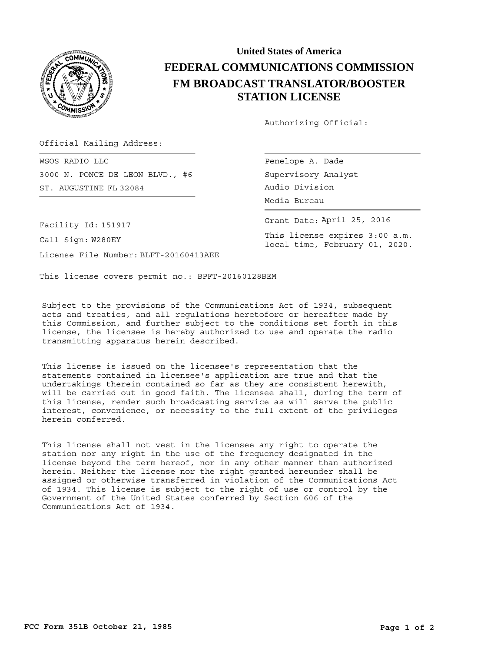

## **United States of America FEDERAL COMMUNICATIONS COMMISSION FM BROADCAST TRANSLATOR/BOOSTER STATION LICENSE**

Authorizing Official:

Official Mailing Address:

ST. AUGUSTINE FL 32084 **Example 2018** Audio Division WSOS RADIO LLC 3000 N. PONCE DE LEON BLVD., #6

Penelope A. Dade Supervisory Analyst Media Bureau

Grant Date: April 25, 2016

This license expires 3:00 a.m. local time, February 01, 2020.

Facility Id: 151917

Call Sign: W280EY

License File Number: BLFT-20160413AEE

This license covers permit no.: BPFT-20160128BEM

Subject to the provisions of the Communications Act of 1934, subsequent acts and treaties, and all regulations heretofore or hereafter made by this Commission, and further subject to the conditions set forth in this license, the licensee is hereby authorized to use and operate the radio transmitting apparatus herein described.

This license is issued on the licensee's representation that the statements contained in licensee's application are true and that the undertakings therein contained so far as they are consistent herewith, will be carried out in good faith. The licensee shall, during the term of this license, render such broadcasting service as will serve the public interest, convenience, or necessity to the full extent of the privileges herein conferred.

This license shall not vest in the licensee any right to operate the station nor any right in the use of the frequency designated in the license beyond the term hereof, nor in any other manner than authorized herein. Neither the license nor the right granted hereunder shall be assigned or otherwise transferred in violation of the Communications Act of 1934. This license is subject to the right of use or control by the Government of the United States conferred by Section 606 of the Communications Act of 1934.